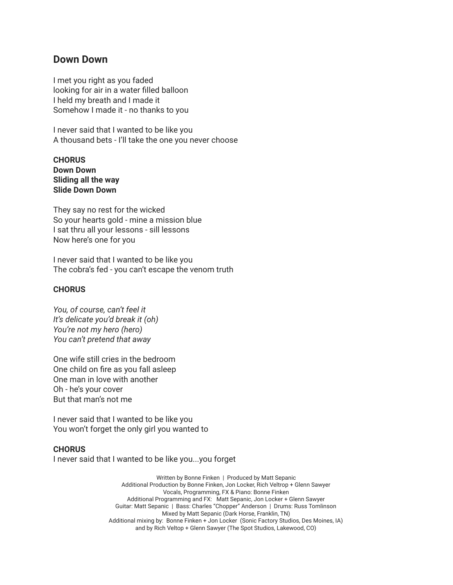### **Down Down**

I met you right as you faded looking for air in a water filled balloon I held my breath and I made it Somehow I made it - no thanks to you

I never said that I wanted to be like you A thousand bets - I'll take the one you never choose

**CHORUS Down Down Sliding all the way Slide Down Down**

They say no rest for the wicked So your hearts gold - mine a mission blue I sat thru all your lessons - sill lessons Now here's one for you

I never said that I wanted to be like you The cobra's fed - you can't escape the venom truth

#### **CHORUS**

*You, of course, can't feel it It's delicate you'd break it (oh) You're not my hero (hero) You can't pretend that away*

One wife still cries in the bedroom One child on fire as you fall asleep One man in love with another Oh - he's your cover But that man's not me

I never said that I wanted to be like you You won't forget the only girl you wanted to

#### **CHORUS**

I never said that I wanted to be like you...you forget

Written by Bonne Finken | Produced by Matt Sepanic Additional Production by Bonne Finken, Jon Locker, Rich Veltrop + Glenn Sawyer Vocals, Programming, FX & Piano: Bonne Finken Additional Programming and FX: Matt Sepanic, Jon Locker + Glenn Sawyer Guitar: Matt Sepanic | Bass: Charles "Chopper" Anderson | Drums: Russ Tomlinson Mixed by Matt Sepanic (Dark Horse, Franklin, TN) Additional mixing by: Bonne Finken + Jon Locker (Sonic Factory Studios, Des Moines, IA) and by Rich Veltop + Glenn Sawyer (The Spot Studios, Lakewood, CO)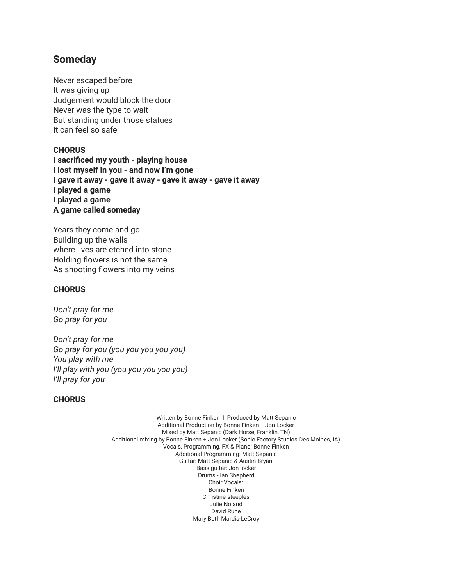# **Someday**

Never escaped before It was giving up Judgement would block the door Never was the type to wait But standing under those statues It can feel so safe

### **CHORUS**

**I sacrificed my youth - playing house I lost myself in you - and now I'm gone I gave it away - gave it away - gave it away - gave it away I played a game I played a game A game called someday**

Years they come and go Building up the walls where lives are etched into stone Holding flowers is not the same As shooting flowers into my veins

### **CHORUS**

*Don't pray for me Go pray for you*

*Don't pray for me Go pray for you (you you you you you) You play with me I'll play with you (you you you you you) I'll pray for you*

#### **CHORUS**

Written by Bonne Finken | Produced by Matt Sepanic Additional Production by Bonne Finken + Jon Locker Mixed by Matt Sepanic (Dark Horse, Franklin, TN) Additional mixing by Bonne Finken + Jon Locker (Sonic Factory Studios Des Moines, IA) Vocals, Programming, FX & Piano: Bonne Finken Additional Programming: Matt Sepanic Guitar: Matt Sepanic & Austin Bryan Bass guitar: Jon locker Drums - Ian Shepherd Choir Vocals: Bonne Finken Christine steeples Julie Noland David Ruhe Mary Beth Mardis-LeCroy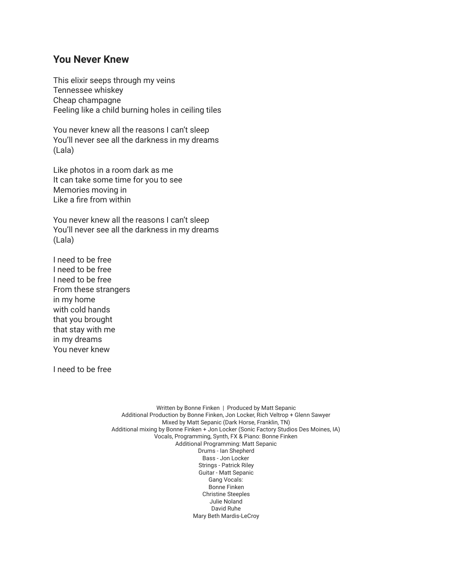## **You Never Knew**

This elixir seeps through my veins Tennessee whiskey Cheap champagne Feeling like a child burning holes in ceiling tiles

You never knew all the reasons I can't sleep You'll never see all the darkness in my dreams (Lala)

Like photos in a room dark as me It can take some time for you to see Memories moving in Like a fire from within

You never knew all the reasons I can't sleep You'll never see all the darkness in my dreams (Lala)

I need to be free I need to be free I need to be free From these strangers in my home with cold hands that you brought that stay with me in my dreams You never knew

I need to be free

Written by Bonne Finken | Produced by Matt Sepanic Additional Production by Bonne Finken, Jon Locker, Rich Veltrop + Glenn Sawyer Mixed by Matt Sepanic (Dark Horse, Franklin, TN) Additional mixing by Bonne Finken + Jon Locker (Sonic Factory Studios Des Moines, IA) Vocals, Programming, Synth, FX & Piano: Bonne Finken Additional Programming: Matt Sepanic Drums - Ian Shepherd Bass - Jon Locker Strings - Patrick Riley Guitar - Matt Sepanic Gang Vocals: Bonne Finken Christine Steeples Julie Noland David Ruhe Mary Beth Mardis-LeCroy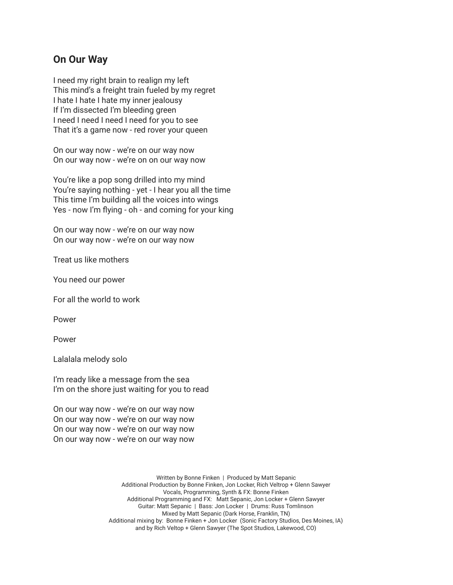## **On Our Way**

I need my right brain to realign my left This mind's a freight train fueled by my regret I hate I hate I hate my inner jealousy If I'm dissected I'm bleeding green I need I need I need I need for you to see That it's a game now - red rover your queen

On our way now - we're on our way now On our way now - we're on on our way now

You're like a pop song drilled into my mind You're saying nothing - yet - I hear you all the time This time I'm building all the voices into wings Yes - now I'm flying - oh - and coming for your king

On our way now - we're on our way now On our way now - we're on our way now

Treat us like mothers

You need our power

For all the world to work

Power

Power

Lalalala melody solo

I'm ready like a message from the sea I'm on the shore just waiting for you to read

On our way now - we're on our way now On our way now - we're on our way now On our way now - we're on our way now On our way now - we're on our way now

> Written by Bonne Finken | Produced by Matt Sepanic Additional Production by Bonne Finken, Jon Locker, Rich Veltrop + Glenn Sawyer Vocals, Programming, Synth & FX: Bonne Finken Additional Programming and FX: Matt Sepanic, Jon Locker + Glenn Sawyer Guitar: Matt Sepanic | Bass: Jon Locker | Drums: Russ Tomlinson Mixed by Matt Sepanic (Dark Horse, Franklin, TN) Additional mixing by: Bonne Finken + Jon Locker (Sonic Factory Studios, Des Moines, IA) and by Rich Veltop + Glenn Sawyer (The Spot Studios, Lakewood, CO)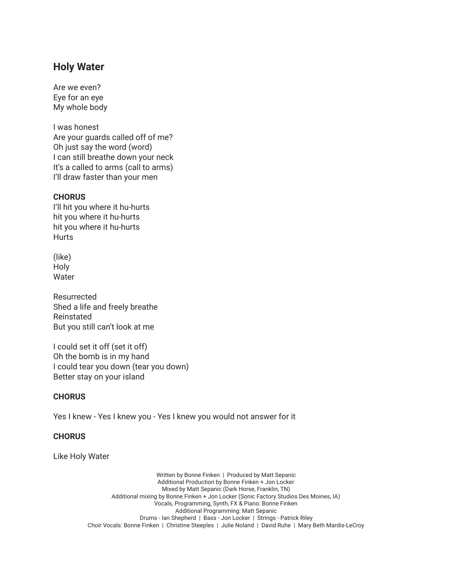# **Holy Water**

Are we even? Eye for an eye My whole body

I was honest Are your guards called off of me? Oh just say the word (word) I can still breathe down your neck It's a called to arms (call to arms) I'll draw faster than your men

### **CHORUS**

I'll hit you where it hu-hurts hit you where it hu-hurts hit you where it hu-hurts **Hurts** 

(like) Holy Water

Resurrected Shed a life and freely breathe Reinstated But you still can't look at me

I could set it off (set it off) Oh the bomb is in my hand I could tear you down (tear you down) Better stay on your island

#### **CHORUS**

Yes I knew - Yes I knew you - Yes I knew you would not answer for it

### **CHORUS**

Like Holy Water

Written by Bonne Finken | Produced by Matt Sepanic Additional Production by Bonne Finken + Jon Locker Mixed by Matt Sepanic (Dark Horse, Franklin, TN) Additional mixing by Bonne Finken + Jon Locker (Sonic Factory Studios Des Moines, IA) Vocals, Programming, Synth, FX & Piano: Bonne Finken Additional Programming: Matt Sepanic Drums - Ian Shepherd | Bass - Jon Locker | Strings - Patrick Riley Choir Vocals: Bonne Finken | Christine Steeples | Julie Noland | David Ruhe | Mary Beth Mardis-LeCroy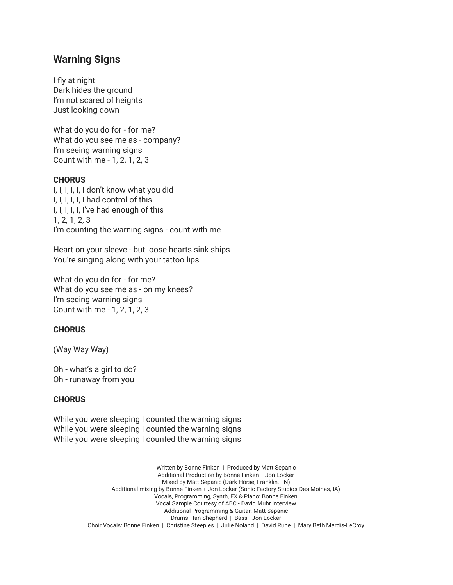## **Warning Signs**

I fly at night Dark hides the ground I'm not scared of heights Just looking down

What do you do for - for me? What do you see me as - company? I'm seeing warning signs Count with me - 1, 2, 1, 2, 3

#### **CHORUS**

I, I, I, I, I, I don't know what you did I, I, I, I, I, I had control of this I, I, I, I, I, I've had enough of this 1, 2, 1, 2, 3 I'm counting the warning signs - count with me

Heart on your sleeve - but loose hearts sink ships You're singing along with your tattoo lips

What do you do for - for me? What do you see me as - on my knees? I'm seeing warning signs Count with me - 1, 2, 1, 2, 3

#### **CHORUS**

(Way Way Way)

Oh - what's a girl to do? Oh - runaway from you

### **CHORUS**

While you were sleeping I counted the warning signs While you were sleeping I counted the warning signs While you were sleeping I counted the warning signs

> Written by Bonne Finken | Produced by Matt Sepanic Additional Production by Bonne Finken + Jon Locker Mixed by Matt Sepanic (Dark Horse, Franklin, TN) Additional mixing by Bonne Finken + Jon Locker (Sonic Factory Studios Des Moines, IA) Vocals, Programming, Synth, FX & Piano: Bonne Finken Vocal Sample Courtesy of ABC - David Muhr interview Additional Programming & Guitar: Matt Sepanic Drums - Ian Shepherd | Bass - Jon Locker Choir Vocals: Bonne Finken | Christine Steeples | Julie Noland | David Ruhe | Mary Beth Mardis-LeCroy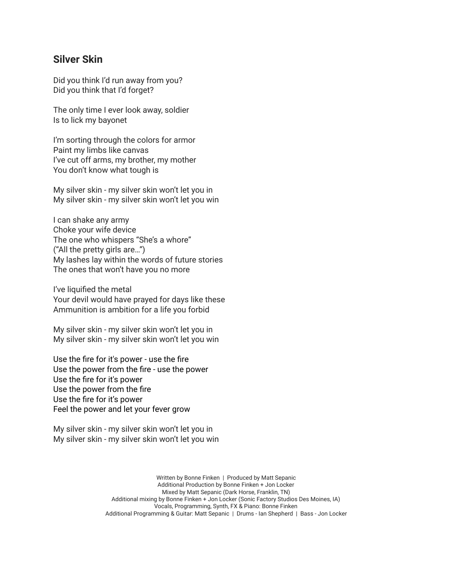## **Silver Skin**

Did you think I'd run away from you? Did you think that I'd forget?

The only time I ever look away, soldier Is to lick my bayonet

I'm sorting through the colors for armor Paint my limbs like canvas I've cut off arms, my brother, my mother You don't know what tough is

My silver skin - my silver skin won't let you in My silver skin - my silver skin won't let you win

I can shake any army Choke your wife device The one who whispers "She's a whore" ("All the pretty girls are…") My lashes lay within the words of future stories The ones that won't have you no more

I've liquified the metal Your devil would have prayed for days like these Ammunition is ambition for a life you forbid

My silver skin - my silver skin won't let you in My silver skin - my silver skin won't let you win

Use the fire for it's power - use the fire Use the power from the fire - use the power Use the fire for it's power Use the power from the fire Use the fire for it's power Feel the power and let your fever grow

My silver skin - my silver skin won't let you in My silver skin - my silver skin won't let you win

> Written by Bonne Finken | Produced by Matt Sepanic Additional Production by Bonne Finken + Jon Locker Mixed by Matt Sepanic (Dark Horse, Franklin, TN) Additional mixing by Bonne Finken + Jon Locker (Sonic Factory Studios Des Moines, IA) Vocals, Programming, Synth, FX & Piano: Bonne Finken Additional Programming & Guitar: Matt Sepanic | Drums - Ian Shepherd | Bass - Jon Locker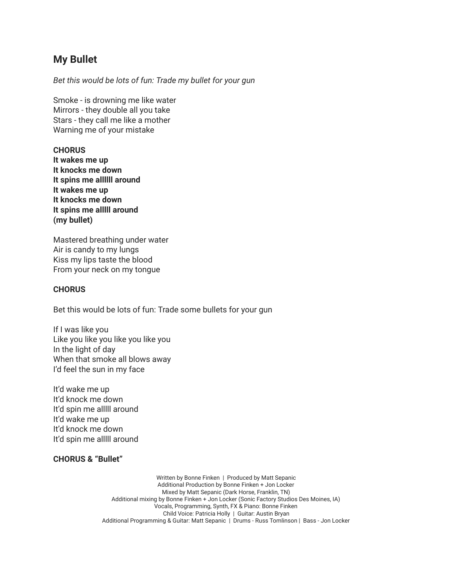# **My Bullet**

*Bet this would be lots of fun: Trade my bullet for your gun*

Smoke - is drowning me like water Mirrors - they double all you take Stars - they call me like a mother Warning me of your mistake

### **CHORUS**

**It wakes me up It knocks me down It spins me allllll around It wakes me up It knocks me down It spins me alllll around (my bullet)**

Mastered breathing under water Air is candy to my lungs Kiss my lips taste the blood From your neck on my tongue

### **CHORUS**

Bet this would be lots of fun: Trade some bullets for your gun

If I was like you Like you like you like you like you In the light of day When that smoke all blows away I'd feel the sun in my face

It'd wake me up It'd knock me down It'd spin me alllll around It'd wake me up It'd knock me down It'd spin me alllll around

### **CHORUS & "Bullet"**

Written by Bonne Finken | Produced by Matt Sepanic Additional Production by Bonne Finken + Jon Locker Mixed by Matt Sepanic (Dark Horse, Franklin, TN) Additional mixing by Bonne Finken + Jon Locker (Sonic Factory Studios Des Moines, IA) Vocals, Programming, Synth, FX & Piano: Bonne Finken Child Voice: Patricia Holly | Guitar: Austin Bryan Additional Programming & Guitar: Matt Sepanic | Drums - Russ Tomlinson | Bass - Jon Locker